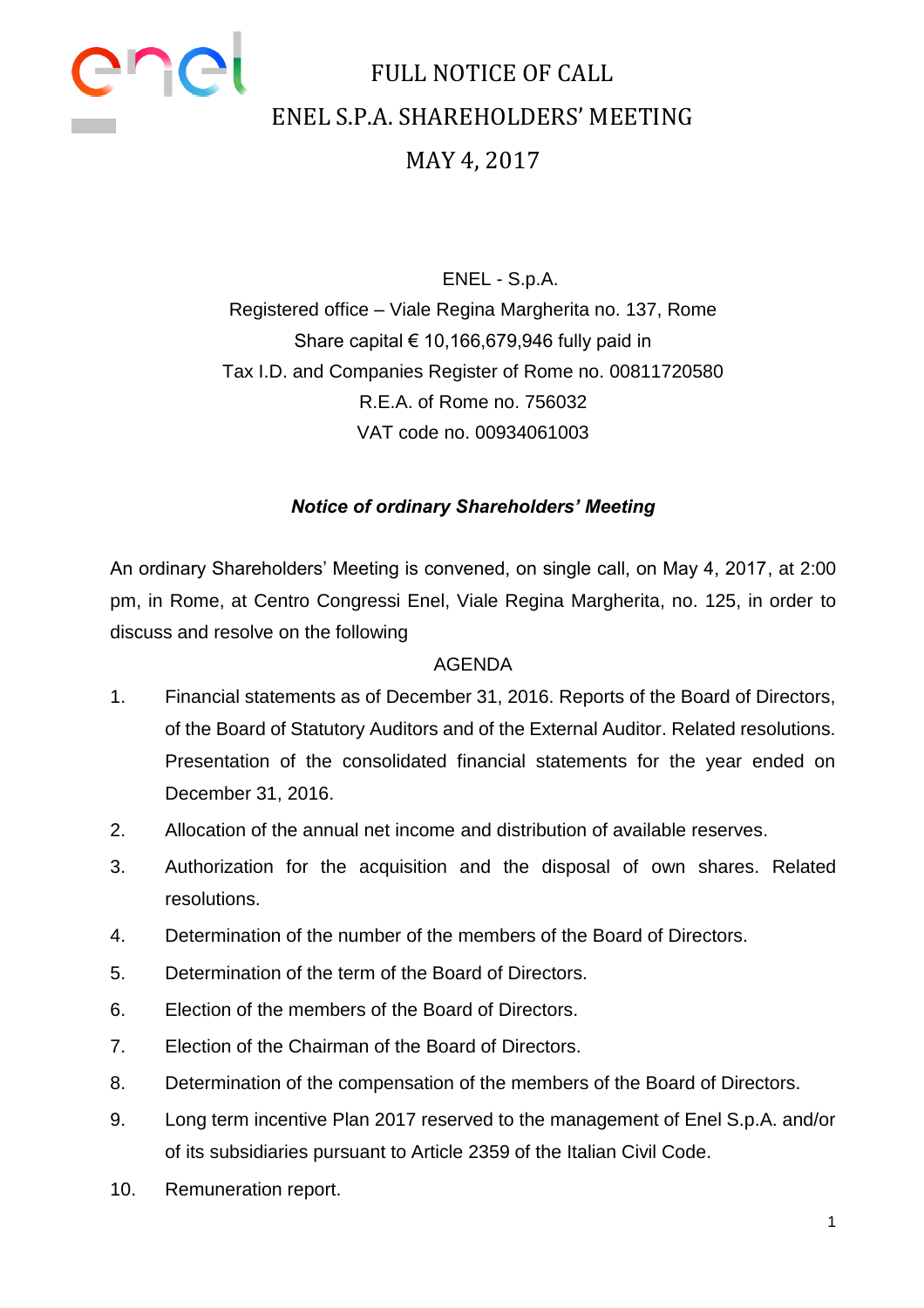

### FULL NOTICE OF CALL ENEL S.P.A. SHAREHOLDERS' MEETING MAY 4, 2017

ENEL - S.p.A. Registered office – Viale Regina Margherita no. 137, Rome Share capital  $\epsilon$  10,166,679,946 fully paid in Tax I.D. and Companies Register of Rome no. 00811720580 R.E.A. of Rome no. 756032 VAT code no. 00934061003

#### *Notice of ordinary Shareholders' Meeting*

An ordinary Shareholders' Meeting is convened, on single call, on May 4, 2017, at 2:00 pm, in Rome, at Centro Congressi Enel, Viale Regina Margherita, no. 125, in order to discuss and resolve on the following

#### AGENDA

- 1. Financial statements as of December 31, 2016. Reports of the Board of Directors, of the Board of Statutory Auditors and of the External Auditor. Related resolutions. Presentation of the consolidated financial statements for the year ended on December 31, 2016.
- 2. Allocation of the annual net income and distribution of available reserves.
- 3. Authorization for the acquisition and the disposal of own shares. Related resolutions.
- 4. Determination of the number of the members of the Board of Directors.
- 5. Determination of the term of the Board of Directors.
- 6. Election of the members of the Board of Directors.
- 7. Election of the Chairman of the Board of Directors.
- 8. Determination of the compensation of the members of the Board of Directors.
- 9. Long term incentive Plan 2017 reserved to the management of Enel S.p.A. and/or of its subsidiaries pursuant to Article 2359 of the Italian Civil Code.
- 10. Remuneration report.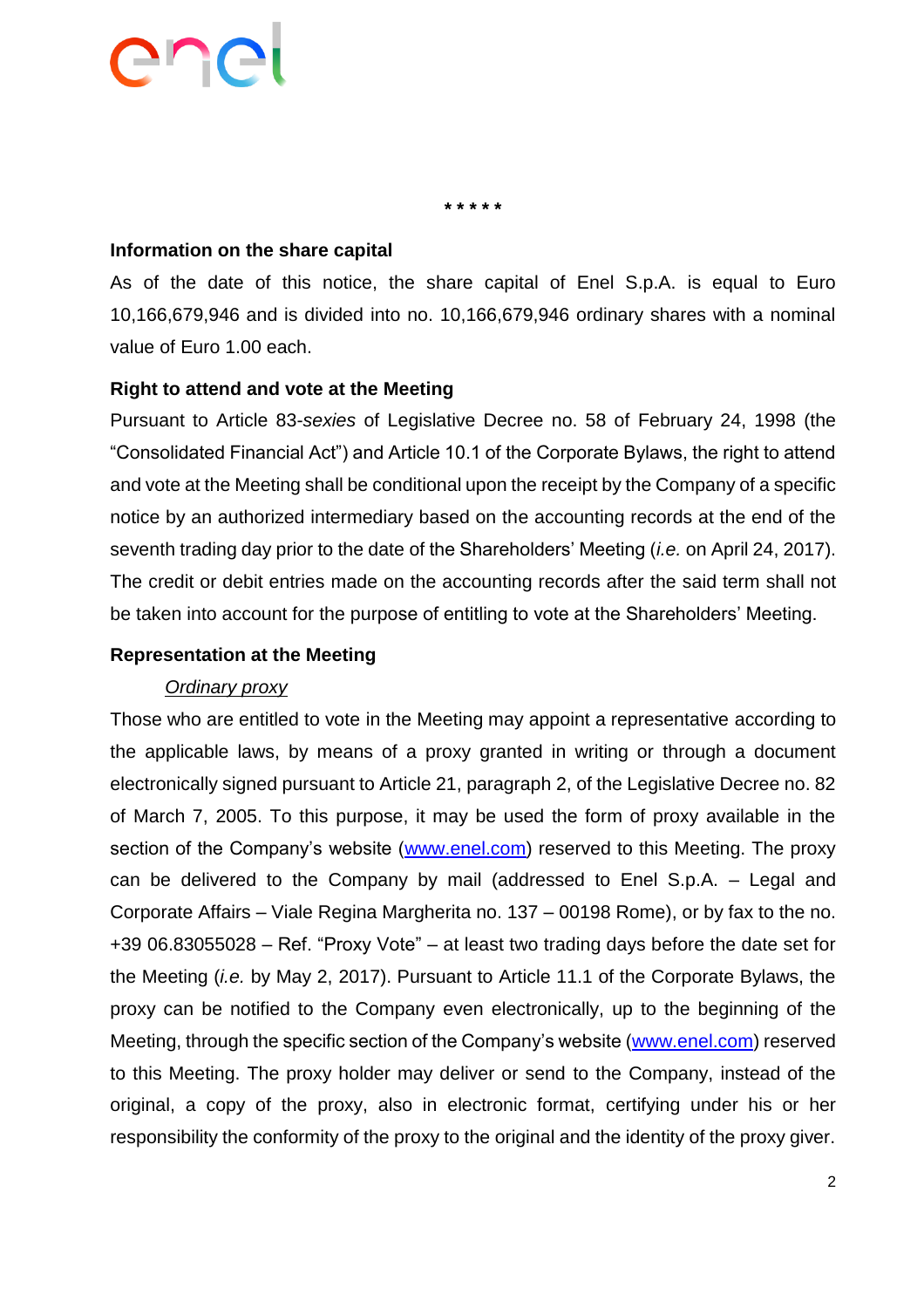**\* \* \* \* \***

#### **Information on the share capital**

As of the date of this notice, the share capital of Enel S.p.A. is equal to Euro 10,166,679,946 and is divided into no. 10,166,679,946 ordinary shares with a nominal value of Euro 1.00 each.

#### **Right to attend and vote at the Meeting**

Pursuant to Article 83-*sexies* of Legislative Decree no. 58 of February 24, 1998 (the "Consolidated Financial Act") and Article 10.1 of the Corporate Bylaws, the right to attend and vote at the Meeting shall be conditional upon the receipt by the Company of a specific notice by an authorized intermediary based on the accounting records at the end of the seventh trading day prior to the date of the Shareholders' Meeting (*i.e.* on April 24, 2017). The credit or debit entries made on the accounting records after the said term shall not be taken into account for the purpose of entitling to vote at the Shareholders' Meeting.

#### **Representation at the Meeting**

#### *Ordinary proxy*

Those who are entitled to vote in the Meeting may appoint a representative according to the applicable laws, by means of a proxy granted in writing or through a document electronically signed pursuant to Article 21, paragraph 2, of the Legislative Decree no. 82 of March 7, 2005. To this purpose, it may be used the form of proxy available in the section of the Company's website [\(www.enel.com\)](http://www.enel.com/) reserved to this Meeting. The proxy can be delivered to the Company by mail (addressed to Enel S.p.A. – Legal and Corporate Affairs – Viale Regina Margherita no. 137 – 00198 Rome), or by fax to the no. +39 06.83055028 – Ref. "Proxy Vote" – at least two trading days before the date set for the Meeting (*i.e.* by May 2, 2017). Pursuant to Article 11.1 of the Corporate Bylaws, the proxy can be notified to the Company even electronically, up to the beginning of the Meeting, through the specific section of the Company's website [\(www.enel.com\)](http://www.enel.com/) reserved to this Meeting. The proxy holder may deliver or send to the Company, instead of the original, a copy of the proxy, also in electronic format, certifying under his or her responsibility the conformity of the proxy to the original and the identity of the proxy giver.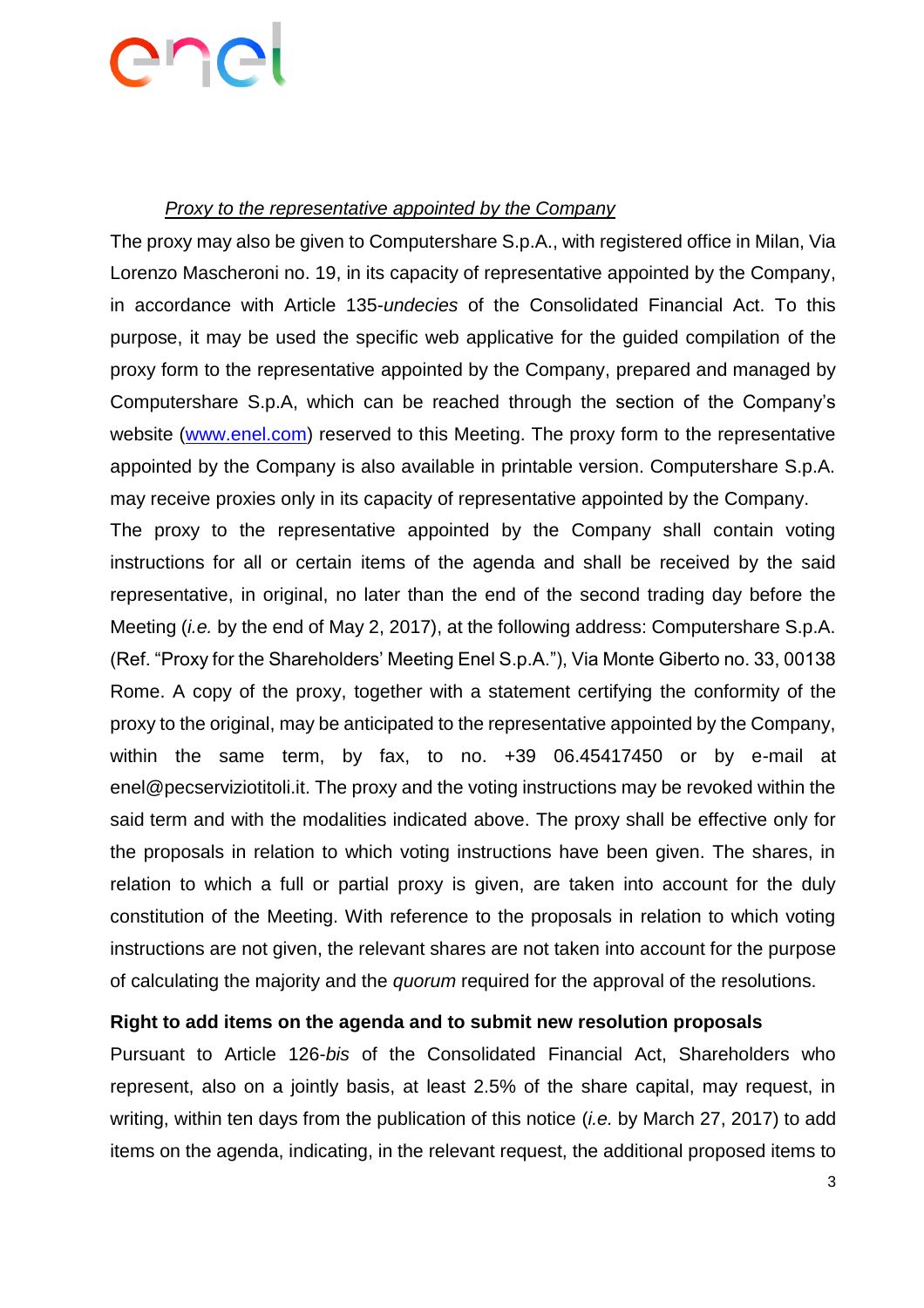#### *Proxy to the representative appointed by the Company*

The proxy may also be given to Computershare S.p.A., with registered office in Milan, Via Lorenzo Mascheroni no. 19, in its capacity of representative appointed by the Company, in accordance with Article 135-*undecies* of the Consolidated Financial Act. To this purpose, it may be used the specific web applicative for the guided compilation of the proxy form to the representative appointed by the Company, prepared and managed by Computershare S.p.A, which can be reached through the section of the Company's website [\(www.enel.com\)](http://www.enel.com/) reserved to this Meeting. The proxy form to the representative appointed by the Company is also available in printable version. Computershare S.p.A. may receive proxies only in its capacity of representative appointed by the Company.

The proxy to the representative appointed by the Company shall contain voting instructions for all or certain items of the agenda and shall be received by the said representative, in original, no later than the end of the second trading day before the Meeting (*i.e.* by the end of May 2, 2017), at the following address: Computershare S.p.A. (Ref. "Proxy for the Shareholders' Meeting Enel S.p.A."), Via Monte Giberto no. 33, 00138 Rome. A copy of the proxy, together with a statement certifying the conformity of the proxy to the original, may be anticipated to the representative appointed by the Company, within the same term, by fax, to no. +39 06.45417450 or by e-mail at enel@pecserviziotitoli.it. The proxy and the voting instructions may be revoked within the said term and with the modalities indicated above. The proxy shall be effective only for the proposals in relation to which voting instructions have been given. The shares, in relation to which a full or partial proxy is given, are taken into account for the duly constitution of the Meeting. With reference to the proposals in relation to which voting instructions are not given, the relevant shares are not taken into account for the purpose of calculating the majority and the *quorum* required for the approval of the resolutions.

#### **Right to add items on the agenda and to submit new resolution proposals**

Pursuant to Article 126-*bis* of the Consolidated Financial Act, Shareholders who represent, also on a jointly basis, at least 2.5% of the share capital, may request, in writing, within ten days from the publication of this notice (*i.e.* by March 27, 2017) to add items on the agenda, indicating, in the relevant request, the additional proposed items to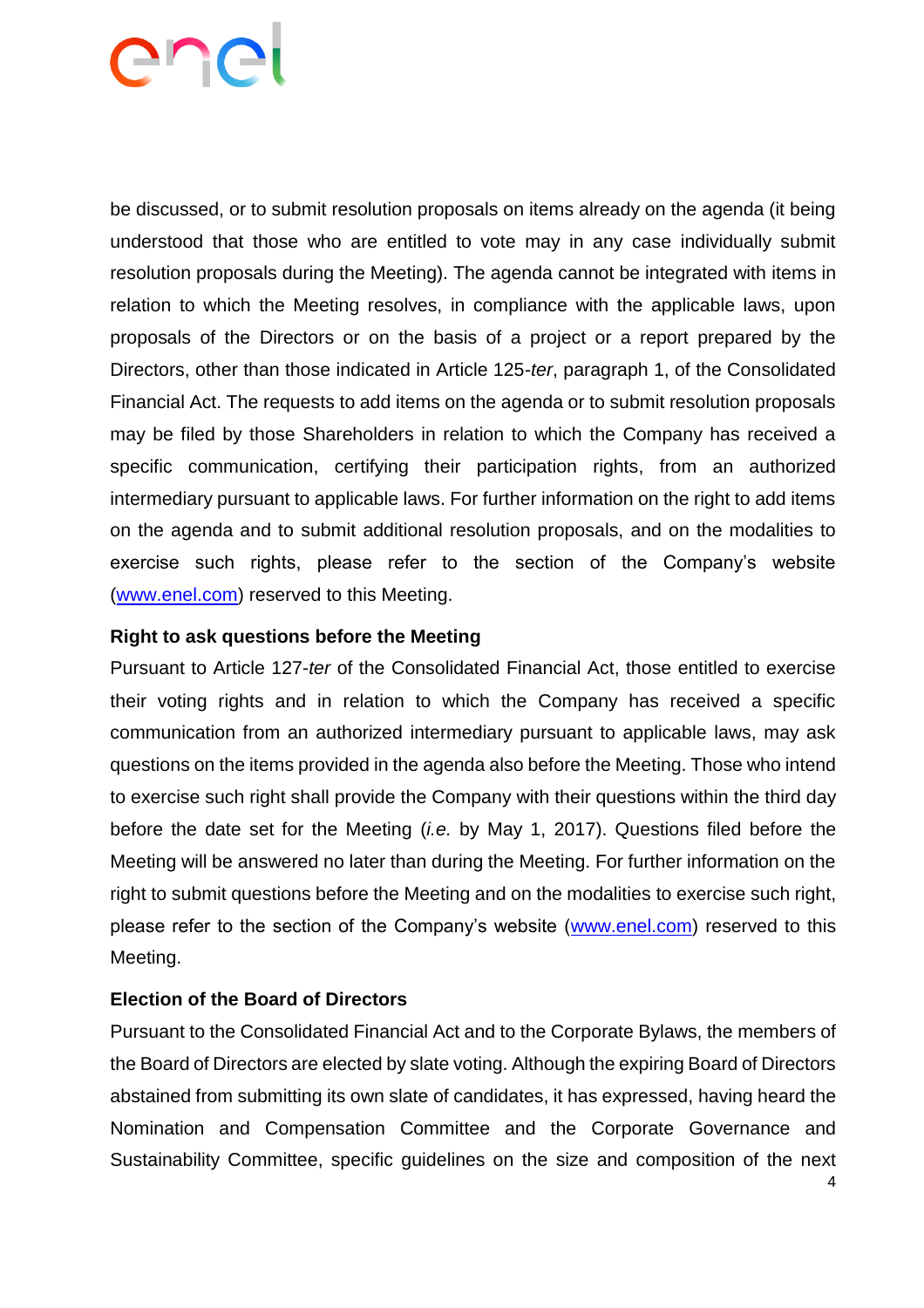be discussed, or to submit resolution proposals on items already on the agenda (it being understood that those who are entitled to vote may in any case individually submit resolution proposals during the Meeting). The agenda cannot be integrated with items in relation to which the Meeting resolves, in compliance with the applicable laws, upon proposals of the Directors or on the basis of a project or a report prepared by the Directors, other than those indicated in Article 125-*ter*, paragraph 1, of the Consolidated Financial Act. The requests to add items on the agenda or to submit resolution proposals may be filed by those Shareholders in relation to which the Company has received a specific communication, certifying their participation rights, from an authorized intermediary pursuant to applicable laws. For further information on the right to add items on the agenda and to submit additional resolution proposals, and on the modalities to exercise such rights, please refer to the section of the Company's website [\(www.enel.com\)](http://www.enel.com/) reserved to this Meeting.

#### **Right to ask questions before the Meeting**

Pursuant to Article 127-*ter* of the Consolidated Financial Act, those entitled to exercise their voting rights and in relation to which the Company has received a specific communication from an authorized intermediary pursuant to applicable laws, may ask questions on the items provided in the agenda also before the Meeting. Those who intend to exercise such right shall provide the Company with their questions within the third day before the date set for the Meeting (*i.e.* by May 1, 2017). Questions filed before the Meeting will be answered no later than during the Meeting. For further information on the right to submit questions before the Meeting and on the modalities to exercise such right, please refer to the section of the Company's website [\(www.enel.com\)](http://www.enel.com/) reserved to this Meeting.

#### **Election of the Board of Directors**

Pursuant to the Consolidated Financial Act and to the Corporate Bylaws, the members of the Board of Directors are elected by slate voting. Although the expiring Board of Directors abstained from submitting its own slate of candidates, it has expressed, having heard the Nomination and Compensation Committee and the Corporate Governance and Sustainability Committee, specific guidelines on the size and composition of the next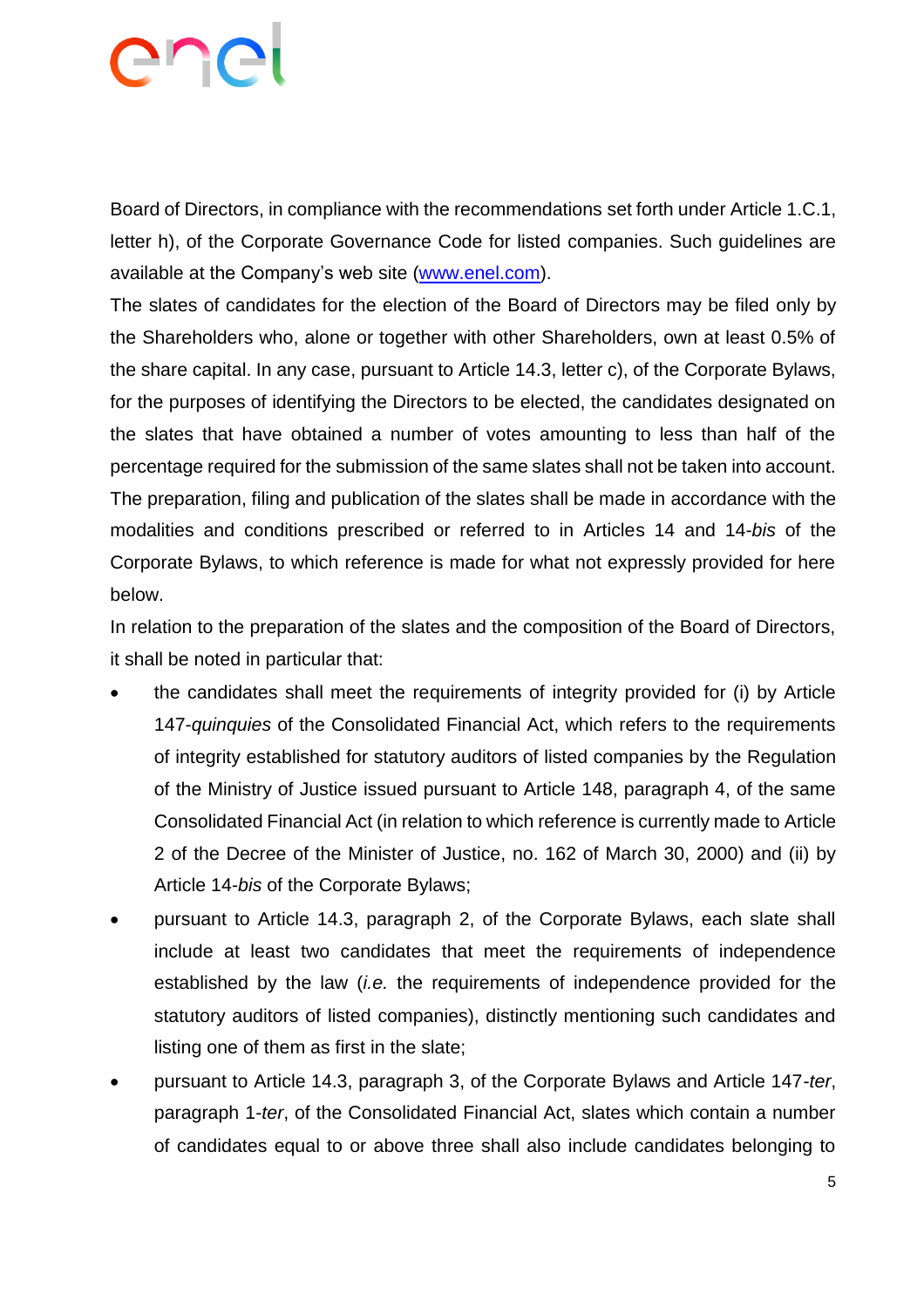# ene

Board of Directors, in compliance with the recommendations set forth under Article 1.C.1, letter h), of the Corporate Governance Code for listed companies. Such guidelines are available at the Company's web site [\(www.enel.com\)](http://www.enel.com/).

The slates of candidates for the election of the Board of Directors may be filed only by the Shareholders who, alone or together with other Shareholders, own at least 0.5% of the share capital. In any case, pursuant to Article 14.3, letter c), of the Corporate Bylaws, for the purposes of identifying the Directors to be elected, the candidates designated on the slates that have obtained a number of votes amounting to less than half of the percentage required for the submission of the same slates shall not be taken into account. The preparation, filing and publication of the slates shall be made in accordance with the modalities and conditions prescribed or referred to in Articles 14 and 14-*bis* of the Corporate Bylaws, to which reference is made for what not expressly provided for here below.

In relation to the preparation of the slates and the composition of the Board of Directors, it shall be noted in particular that:

- the candidates shall meet the requirements of integrity provided for (i) by Article 147-*quinquies* of the Consolidated Financial Act, which refers to the requirements of integrity established for statutory auditors of listed companies by the Regulation of the Ministry of Justice issued pursuant to Article 148, paragraph 4, of the same Consolidated Financial Act (in relation to which reference is currently made to Article 2 of the Decree of the Minister of Justice, no. 162 of March 30, 2000) and (ii) by Article 14-*bis* of the Corporate Bylaws;
- pursuant to Article 14.3, paragraph 2, of the Corporate Bylaws, each slate shall include at least two candidates that meet the requirements of independence established by the law (*i.e.* the requirements of independence provided for the statutory auditors of listed companies), distinctly mentioning such candidates and listing one of them as first in the slate;
- pursuant to Article 14.3, paragraph 3, of the Corporate Bylaws and Article 147-*ter*, paragraph 1-*ter*, of the Consolidated Financial Act, slates which contain a number of candidates equal to or above three shall also include candidates belonging to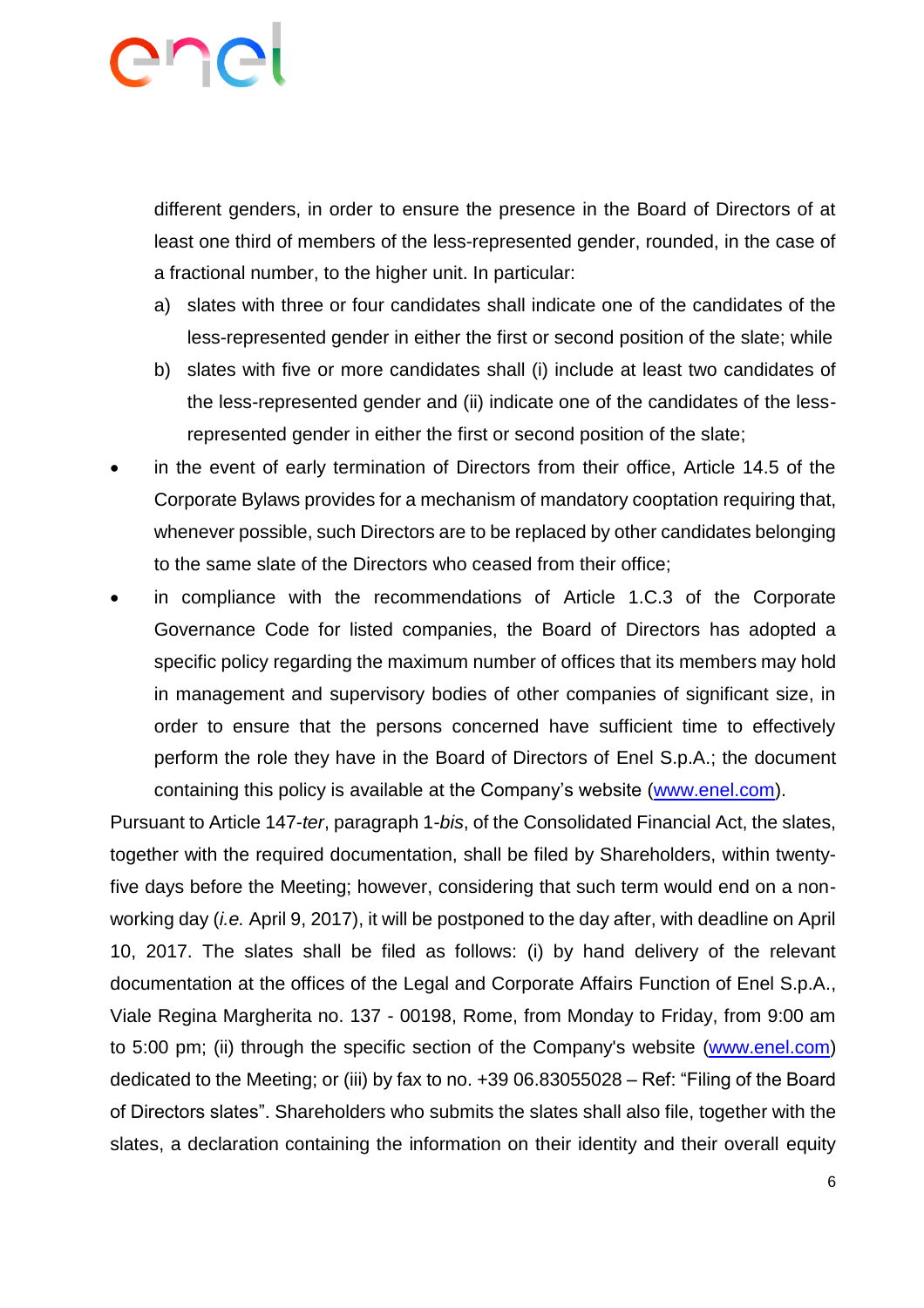different genders, in order to ensure the presence in the Board of Directors of at least one third of members of the less-represented gender, rounded, in the case of a fractional number, to the higher unit. In particular:

- a) slates with three or four candidates shall indicate one of the candidates of the less-represented gender in either the first or second position of the slate; while
- b) slates with five or more candidates shall (i) include at least two candidates of the less-represented gender and (ii) indicate one of the candidates of the lessrepresented gender in either the first or second position of the slate;
- in the event of early termination of Directors from their office, Article 14.5 of the Corporate Bylaws provides for a mechanism of mandatory cooptation requiring that, whenever possible, such Directors are to be replaced by other candidates belonging to the same slate of the Directors who ceased from their office;
- in compliance with the recommendations of Article 1.C.3 of the Corporate Governance Code for listed companies, the Board of Directors has adopted a specific policy regarding the maximum number of offices that its members may hold in management and supervisory bodies of other companies of significant size, in order to ensure that the persons concerned have sufficient time to effectively perform the role they have in the Board of Directors of Enel S.p.A.; the document containing this policy is available at the Company's website [\(www.enel.com\)](http://www.enel.com/).

Pursuant to Article 147-*ter*, paragraph 1-*bis*, of the Consolidated Financial Act, the slates, together with the required documentation, shall be filed by Shareholders, within twentyfive days before the Meeting; however, considering that such term would end on a nonworking day (*i.e.* April 9, 2017), it will be postponed to the day after, with deadline on April 10, 2017. The slates shall be filed as follows: (i) by hand delivery of the relevant documentation at the offices of the Legal and Corporate Affairs Function of Enel S.p.A., Viale Regina Margherita no. 137 - 00198, Rome, from Monday to Friday, from 9:00 am to 5:00 pm; (ii) through the specific section of the Company's website [\(www.enel.com\)](http://www.enel.com/) dedicated to the Meeting; or (iii) by fax to no. +39 06.83055028 – Ref: "Filing of the Board of Directors slates". Shareholders who submits the slates shall also file, together with the slates, a declaration containing the information on their identity and their overall equity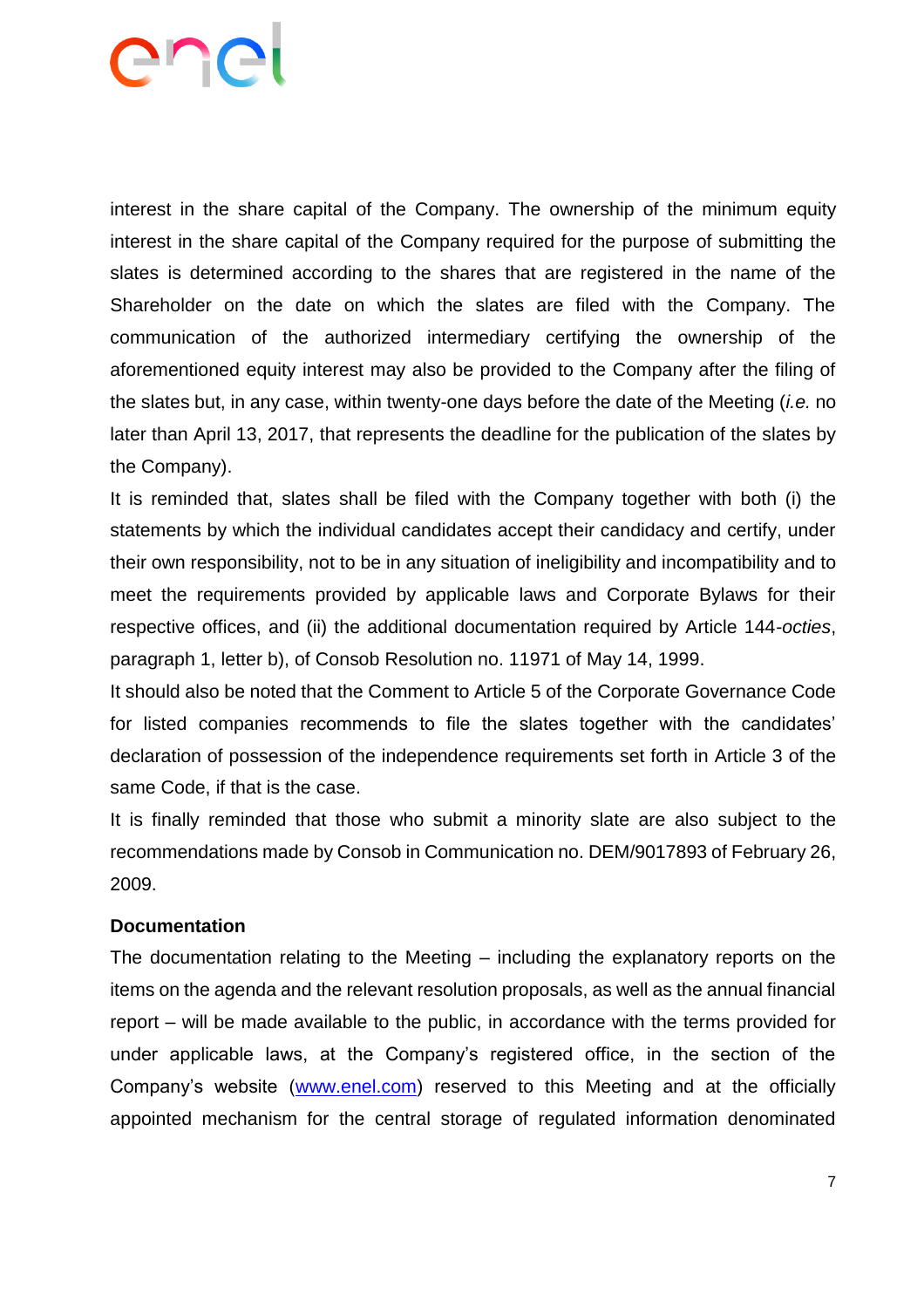interest in the share capital of the Company. The ownership of the minimum equity interest in the share capital of the Company required for the purpose of submitting the slates is determined according to the shares that are registered in the name of the Shareholder on the date on which the slates are filed with the Company. The communication of the authorized intermediary certifying the ownership of the aforementioned equity interest may also be provided to the Company after the filing of the slates but, in any case, within twenty-one days before the date of the Meeting (*i.e.* no later than April 13, 2017, that represents the deadline for the publication of the slates by the Company).

It is reminded that, slates shall be filed with the Company together with both (i) the statements by which the individual candidates accept their candidacy and certify, under their own responsibility, not to be in any situation of ineligibility and incompatibility and to meet the requirements provided by applicable laws and Corporate Bylaws for their respective offices, and (ii) the additional documentation required by Article 144-*octies*, paragraph 1, letter b), of Consob Resolution no. 11971 of May 14, 1999.

It should also be noted that the Comment to Article 5 of the Corporate Governance Code for listed companies recommends to file the slates together with the candidates' declaration of possession of the independence requirements set forth in Article 3 of the same Code, if that is the case.

It is finally reminded that those who submit a minority slate are also subject to the recommendations made by Consob in Communication no. DEM/9017893 of February 26, 2009.

#### **Documentation**

The documentation relating to the Meeting – including the explanatory reports on the items on the agenda and the relevant resolution proposals, as well as the annual financial report – will be made available to the public, in accordance with the terms provided for under applicable laws, at the Company's registered office, in the section of the Company's website [\(www.enel.com\)](http://www.enel.com/) reserved to this Meeting and at the officially appointed mechanism for the central storage of regulated information denominated